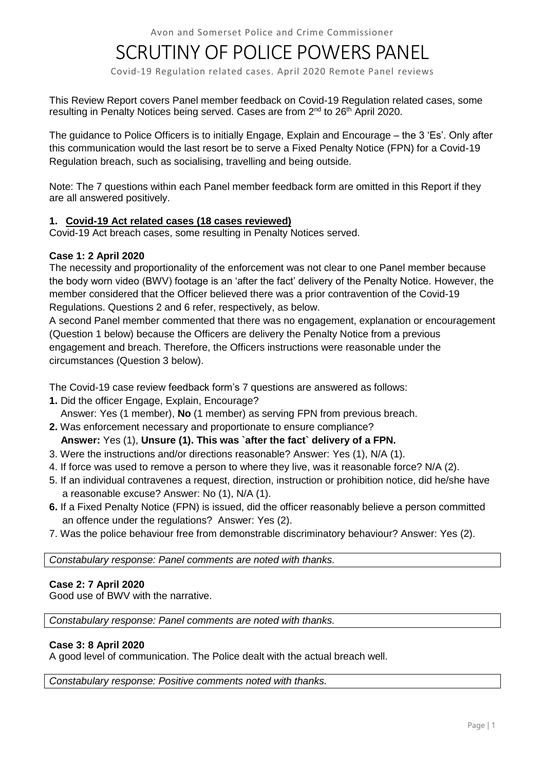# SCRUTINY OF POLICE POWERS PANEL

Covid-19 Regulation related cases. April 2020 Remote Panel reviews

This Review Report covers Panel member feedback on Covid-19 Regulation related cases, some resulting in Penalty Notices being served. Cases are from 2<sup>nd</sup> to 26<sup>th</sup> April 2020.

The guidance to Police Officers is to initially Engage, Explain and Encourage – the 3 'Es'. Only after this communication would the last resort be to serve a Fixed Penalty Notice (FPN) for a Covid-19 Regulation breach, such as socialising, travelling and being outside.

Note: The 7 questions within each Panel member feedback form are omitted in this Report if they are all answered positively.

## **1. Covid-19 Act related cases (18 cases reviewed)**

Covid-19 Act breach cases, some resulting in Penalty Notices served.

#### **Case 1: 2 April 2020**

The necessity and proportionality of the enforcement was not clear to one Panel member because the body worn video (BWV) footage is an 'after the fact' delivery of the Penalty Notice. However, the member considered that the Officer believed there was a prior contravention of the Covid-19 Regulations. Questions 2 and 6 refer, respectively, as below.

A second Panel member commented that there was no engagement, explanation or encouragement (Question 1 below) because the Officers are delivery the Penalty Notice from a previous engagement and breach. Therefore, the Officers instructions were reasonable under the circumstances (Question 3 below).

The Covid-19 case review feedback form's 7 questions are answered as follows:

- **1.** Did the officer Engage, Explain, Encourage? Answer: Yes (1 member), **No** (1 member) as serving FPN from previous breach.
- **2.** Was enforcement necessary and proportionate to ensure compliance?

# **Answer:** Yes (1), **Unsure (1). This was `after the fact` delivery of a FPN.**

- 3. Were the instructions and/or directions reasonable? Answer: Yes (1), N/A (1).
- 4. If force was used to remove a person to where they live, was it reasonable force? N/A (2).
- 5. If an individual contravenes a request, direction, instruction or prohibition notice, did he/she have a reasonable excuse? Answer: No (1), N/A (1).
- **6.** If a Fixed Penalty Notice (FPN) is issued, did the officer reasonably believe a person committed an offence under the regulations? Answer: Yes (2).
- 7. Was the police behaviour free from demonstrable discriminatory behaviour? Answer: Yes (2).

*Constabulary response: Panel comments are noted with thanks.*

## **Case 2: 7 April 2020**

Good use of BWV with the narrative.

*Constabulary response: Panel comments are noted with thanks.*

## **Case 3: 8 April 2020**

A good level of communication. The Police dealt with the actual breach well.

*Constabulary response: Positive comments noted with thanks.*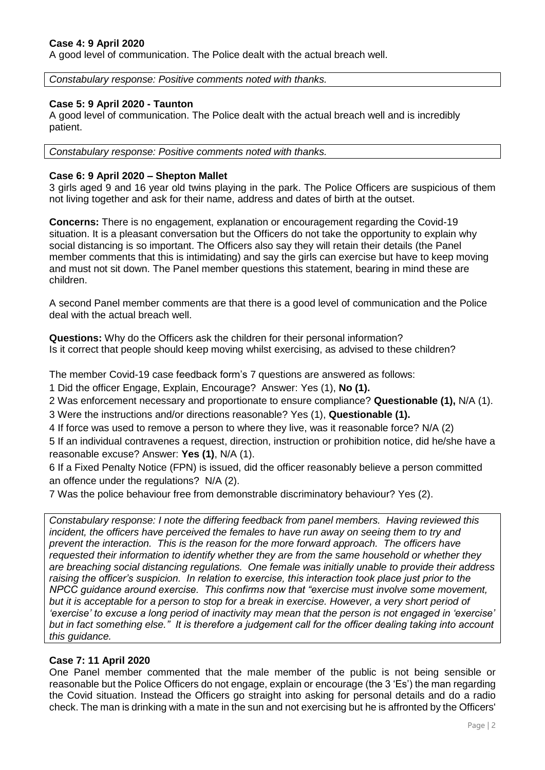#### **Case 4: 9 April 2020**

A good level of communication. The Police dealt with the actual breach well.

*Constabulary response: Positive comments noted with thanks.*

#### **Case 5: 9 April 2020 - Taunton**

A good level of communication. The Police dealt with the actual breach well and is incredibly patient.

*Constabulary response: Positive comments noted with thanks.*

#### **Case 6: 9 April 2020 – Shepton Mallet**

3 girls aged 9 and 16 year old twins playing in the park. The Police Officers are suspicious of them not living together and ask for their name, address and dates of birth at the outset.

**Concerns:** There is no engagement, explanation or encouragement regarding the Covid-19 situation. It is a pleasant conversation but the Officers do not take the opportunity to explain why social distancing is so important. The Officers also say they will retain their details (the Panel member comments that this is intimidating) and say the girls can exercise but have to keep moving and must not sit down. The Panel member questions this statement, bearing in mind these are children.

A second Panel member comments are that there is a good level of communication and the Police deal with the actual breach well.

**Questions:** Why do the Officers ask the children for their personal information? Is it correct that people should keep moving whilst exercising, as advised to these children?

The member Covid-19 case feedback form's 7 questions are answered as follows:

1 Did the officer Engage, Explain, Encourage? Answer: Yes (1), **No (1).**

2 Was enforcement necessary and proportionate to ensure compliance? **Questionable (1),** N/A (1).

3 Were the instructions and/or directions reasonable? Yes (1), **Questionable (1).** 

4 If force was used to remove a person to where they live, was it reasonable force? N/A (2)

5 If an individual contravenes a request, direction, instruction or prohibition notice, did he/she have a reasonable excuse? Answer: **Yes (1)**, N/A (1).

6 If a Fixed Penalty Notice (FPN) is issued, did the officer reasonably believe a person committed an offence under the regulations? N/A (2).

7 Was the police behaviour free from demonstrable discriminatory behaviour? Yes (2).

*Constabulary response: I note the differing feedback from panel members. Having reviewed this incident, the officers have perceived the females to have run away on seeing them to try and prevent the interaction. This is the reason for the more forward approach. The officers have requested their information to identify whether they are from the same household or whether they are breaching social distancing regulations. One female was initially unable to provide their address raising the officer's suspicion. In relation to exercise, this interaction took place just prior to the NPCC guidance around exercise. This confirms now that "exercise must involve some movement, but it is acceptable for a person to stop for a break in exercise. However, a very short period of 'exercise' to excuse a long period of inactivity may mean that the person is not engaged in 'exercise' but in fact something else." It is therefore a judgement call for the officer dealing taking into account this guidance.*

#### **Case 7: 11 April 2020**

One Panel member commented that the male member of the public is not being sensible or reasonable but the Police Officers do not engage, explain or encourage (the 3 'Es') the man regarding the Covid situation. Instead the Officers go straight into asking for personal details and do a radio check. The man is drinking with a mate in the sun and not exercising but he is affronted by the Officers'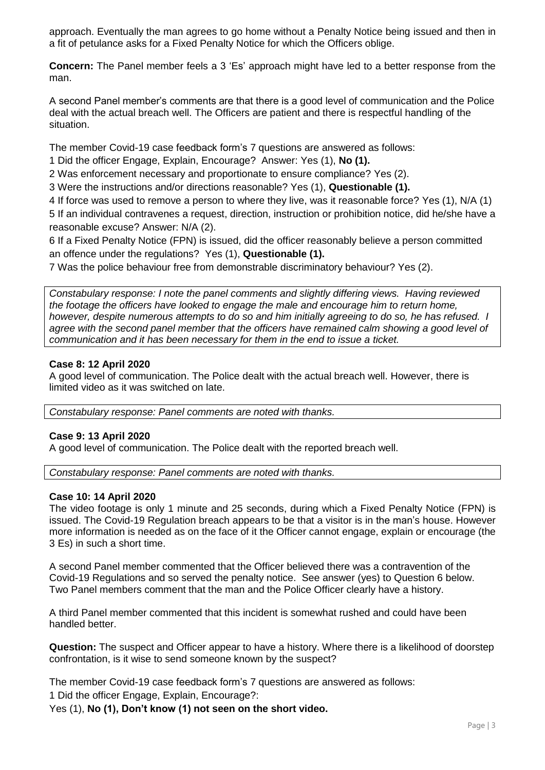approach. Eventually the man agrees to go home without a Penalty Notice being issued and then in a fit of petulance asks for a Fixed Penalty Notice for which the Officers oblige.

**Concern:** The Panel member feels a 3 'Es' approach might have led to a better response from the man.

A second Panel member's comments are that there is a good level of communication and the Police deal with the actual breach well. The Officers are patient and there is respectful handling of the situation.

The member Covid-19 case feedback form's 7 questions are answered as follows:

1 Did the officer Engage, Explain, Encourage? Answer: Yes (1), **No (1).**

2 Was enforcement necessary and proportionate to ensure compliance? Yes (2).

3 Were the instructions and/or directions reasonable? Yes (1), **Questionable (1).** 

4 If force was used to remove a person to where they live, was it reasonable force? Yes (1), N/A (1) 5 If an individual contravenes a request, direction, instruction or prohibition notice, did he/she have a reasonable excuse? Answer: N/A (2).

6 If a Fixed Penalty Notice (FPN) is issued, did the officer reasonably believe a person committed an offence under the regulations? Yes (1), **Questionable (1).**

7 Was the police behaviour free from demonstrable discriminatory behaviour? Yes (2).

*Constabulary response: I note the panel comments and slightly differing views. Having reviewed the footage the officers have looked to engage the male and encourage him to return home, however, despite numerous attempts to do so and him initially agreeing to do so, he has refused. I agree with the second panel member that the officers have remained calm showing a good level of communication and it has been necessary for them in the end to issue a ticket.*

# **Case 8: 12 April 2020**

A good level of communication. The Police dealt with the actual breach well. However, there is limited video as it was switched on late.

*Constabulary response: Panel comments are noted with thanks.*

## **Case 9: 13 April 2020**

A good level of communication. The Police dealt with the reported breach well.

*Constabulary response: Panel comments are noted with thanks.*

## **Case 10: 14 April 2020**

The video footage is only 1 minute and 25 seconds, during which a Fixed Penalty Notice (FPN) is issued. The Covid-19 Regulation breach appears to be that a visitor is in the man's house. However more information is needed as on the face of it the Officer cannot engage, explain or encourage (the 3 Es) in such a short time.

A second Panel member commented that the Officer believed there was a contravention of the Covid-19 Regulations and so served the penalty notice. See answer (yes) to Question 6 below. Two Panel members comment that the man and the Police Officer clearly have a history.

A third Panel member commented that this incident is somewhat rushed and could have been handled better.

**Question:** The suspect and Officer appear to have a history. Where there is a likelihood of doorstep confrontation, is it wise to send someone known by the suspect?

The member Covid-19 case feedback form's 7 questions are answered as follows: 1 Did the officer Engage, Explain, Encourage?:

Yes (1), **No (1), Don't know (1) not seen on the short video.**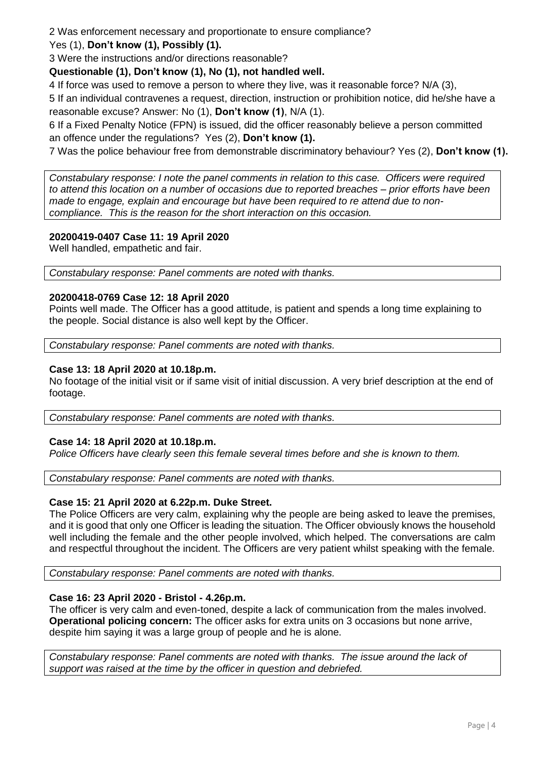2 Was enforcement necessary and proportionate to ensure compliance?

# Yes (1), **Don't know (1), Possibly (1).**

3 Were the instructions and/or directions reasonable?

**Questionable (1), Don't know (1), No (1), not handled well.** 

4 If force was used to remove a person to where they live, was it reasonable force? N/A (3),

5 If an individual contravenes a request, direction, instruction or prohibition notice, did he/she have a reasonable excuse? Answer: No (1), **Don't know (1)**, N/A (1).

6 If a Fixed Penalty Notice (FPN) is issued, did the officer reasonably believe a person committed an offence under the regulations? Yes (2), **Don't know (1).**

7 Was the police behaviour free from demonstrable discriminatory behaviour? Yes (2), **Don't know (1).**

*Constabulary response: I note the panel comments in relation to this case. Officers were required to attend this location on a number of occasions due to reported breaches – prior efforts have been made to engage, explain and encourage but have been required to re attend due to noncompliance. This is the reason for the short interaction on this occasion.*

# **20200419-0407 Case 11: 19 April 2020**

Well handled, empathetic and fair.

*Constabulary response: Panel comments are noted with thanks.*

## **20200418-0769 Case 12: 18 April 2020**

Points well made. The Officer has a good attitude, is patient and spends a long time explaining to the people. Social distance is also well kept by the Officer.

*Constabulary response: Panel comments are noted with thanks.*

## **Case 13: 18 April 2020 at 10.18p.m.**

No footage of the initial visit or if same visit of initial discussion. A very brief description at the end of footage.

*Constabulary response: Panel comments are noted with thanks.* 

## **Case 14: 18 April 2020 at 10.18p.m.**

*Police Officers have clearly seen this female several times before and she is known to them.*

*Constabulary response: Panel comments are noted with thanks.*

## **Case 15: 21 April 2020 at 6.22p.m. Duke Street.**

The Police Officers are very calm, explaining why the people are being asked to leave the premises, and it is good that only one Officer is leading the situation. The Officer obviously knows the household well including the female and the other people involved, which helped. The conversations are calm and respectful throughout the incident. The Officers are very patient whilst speaking with the female.

*Constabulary response: Panel comments are noted with thanks.*

# **Case 16: 23 April 2020 - Bristol - 4.26p.m.**

The officer is very calm and even-toned, despite a lack of communication from the males involved. **Operational policing concern:** The officer asks for extra units on 3 occasions but none arrive, despite him saying it was a large group of people and he is alone.

*Constabulary response: Panel comments are noted with thanks. The issue around the lack of support was raised at the time by the officer in question and debriefed.*